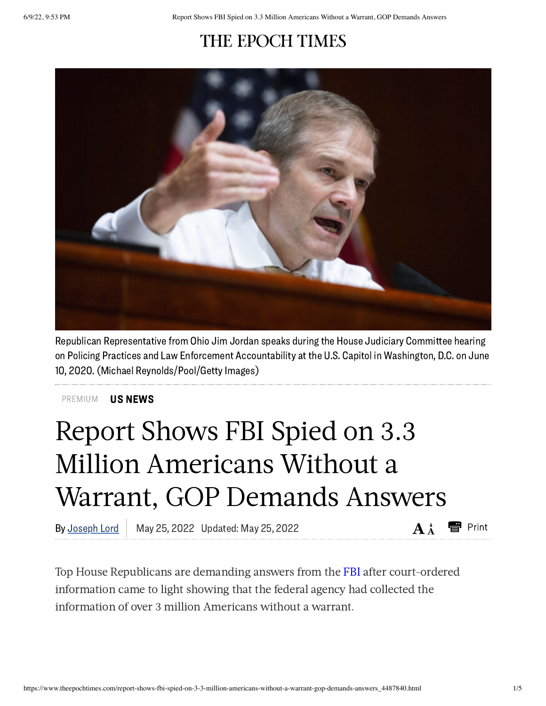## THE EPOCH TIMES



Republican Representative from Ohio Jim Jordan speaks during the House Judiciary Committee hearing on Policing Practices and Law Enforcement Accountability at the U.S. Capitol in Washington, D.C. on June 10, 2020.(Michael Reynolds/Pool/Getty Images)

US NEWS [PREMIUM](https://www.theepochtimes.com/c-us-news)

## Report Shows FBI Spied on 3.3 Million Americans Without a Warrant, GOP Demands Answers

By Joseph Lord | May 25, 2022 Updated: May 25, 2022  $A^*$   $A^*$ 

Top House Republicans are demanding answers from the [FBI](https://www.theepochtimes.com/t-fbi) after court-ordered information came to light showing that the federal agency had collected the information of over 3 million Americans without a warrant.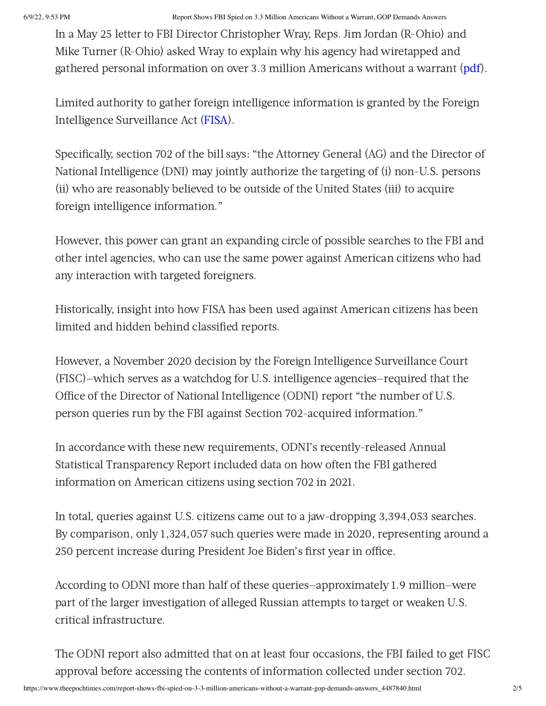## 6/9/22, 9:53 PM Report Shows FBI Spied on 3.3 Million Americans Without a Warrant, GOP Demands Answers

In a May 25 letter to FBI Director Christopher Wray, Reps. Jim Jordan (R-Ohio) and Mike Turner (R-Ohio) asked Wray to explain why his agency had wiretapped and gathered personal information on over 3.3 million Americans without a warrant ([pdf](https://republicans-judiciary.house.gov/wp-content/uploads/2022/05/2022-05-24-JDJ-MT-to-Wray-FISA.pdf)).

Limited authority to gather foreign intelligence information is granted by the Foreign Intelligence Surveillance Act [\(FISA](https://www.theepochtimes.com/t-fisa)).

Specifically, section 702 of the bill says: "the Attorney General (AG) and the Director of National Intelligence (DNI) may jointly authorize the targeting of (i) non-U.S. persons (ii) who are reasonably believed to be outside of the United States (iii) to acquire foreign intelligence information."

However, this power can grant an expanding circle of possible searches to the FBI and other intel agencies, who can use the same power against American citizens who had any interaction with targeted foreigners.

Historically, insight into how FISA has been used against American citizens has been limited and hidden behind classified reports.

However, a November 2020 decision by the Foreign Intelligence Surveillance Court (FISC)—which serves as a watchdog for U.S. intelligence agencies—required that the Office of the Director of National Intelligence (ODNI) report "the number of U.S. person queries run by the FBI against Section 702-acquired information."

In accordance with these new requirements, ODNI's recently-released Annual Statistical Transparency Report included data on how often the FBI gathered information on American citizens using section 702 in 2021.

In total, queries against U.S. citizens came out to a jaw-dropping 3,394,053 searches. By comparison, only 1,324,057 such queries were made in 2020, representing around a 250 percent increase during President Joe Biden's first year in office.

According to ODNI more than half of these queries—approximately 1.9 million—were part of the larger investigation of alleged Russian attempts to target or weaken U.S. critical infrastructure.

The ODNI report also admitted that on at least four occasions, the FBI failed to get FISC approval before accessing the contents of information collected under section 702.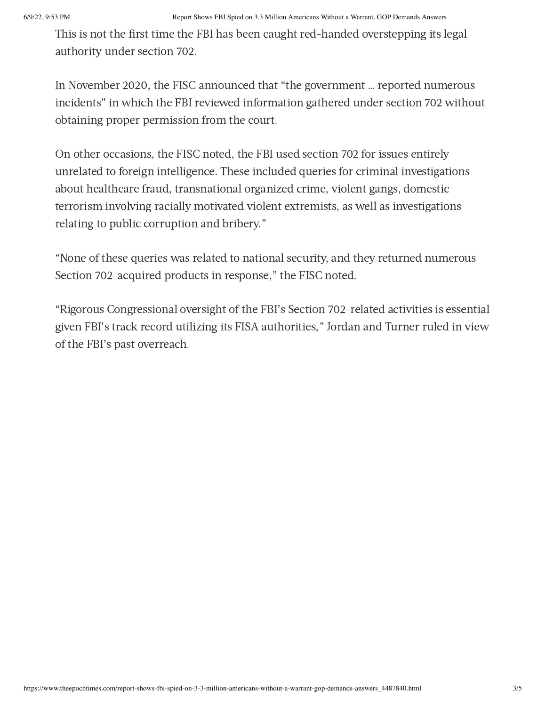This is not the first time the FBI has been caught red-handed overstepping its legal authority under section 702.

In November 2020, the FISC announced that "the government … reported numerous incidents" in which the FBI reviewed information gathered under section 702 without obtaining proper permission from the court.

On other occasions, the FISC noted, the FBI used section 702 for issues entirely unrelated to foreign intelligence. These included queries for criminal investigations about healthcare fraud, transnational organized crime, violent gangs, domestic terrorism involving racially motivated violent extremists, as well as investigations relating to public corruption and bribery."

"None of these queries was related to national security, and they returned numerous Section 702-acquired products in response," the FISC noted.

"Rigorous Congressional oversight of the FBI's Section 702-related activities is essential given FBI's track record utilizing its FISA authorities," Jordan and Turner ruled in view of the FBI's past overreach.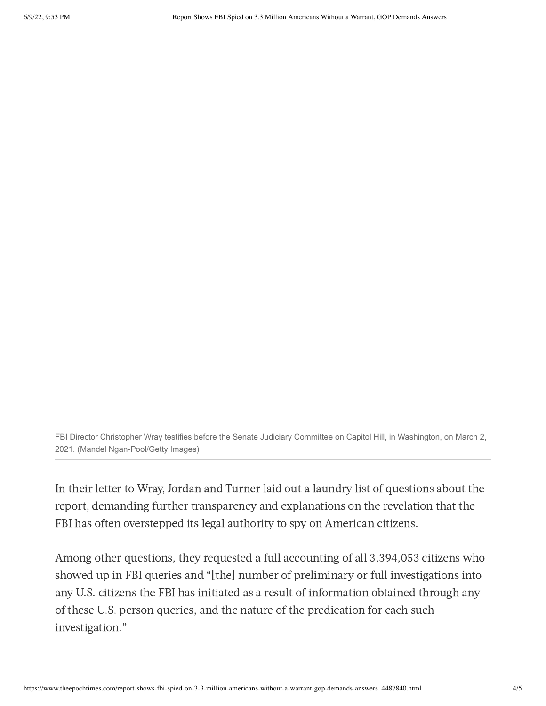FBI Director Christopher Wray testifies before the Senate Judiciary Committee on Capitol Hill, in Washington, on March 2, 2021. (Mandel Ngan-Pool/Getty Images)

In their letter to Wray, Jordan and Turner laid out a laundry list of questions about the report, demanding further transparency and explanations on the revelation that the FBI has often overstepped its legal authority to spy on American citizens.

Among other questions, they requested a full accounting of all 3,394,053 citizens who showed up in FBI queries and "[the] number of preliminary or full investigations into any U.S. citizens the FBI has initiated as a result of information obtained through any of these U.S. person queries, and the nature of the predication for each such investigation."